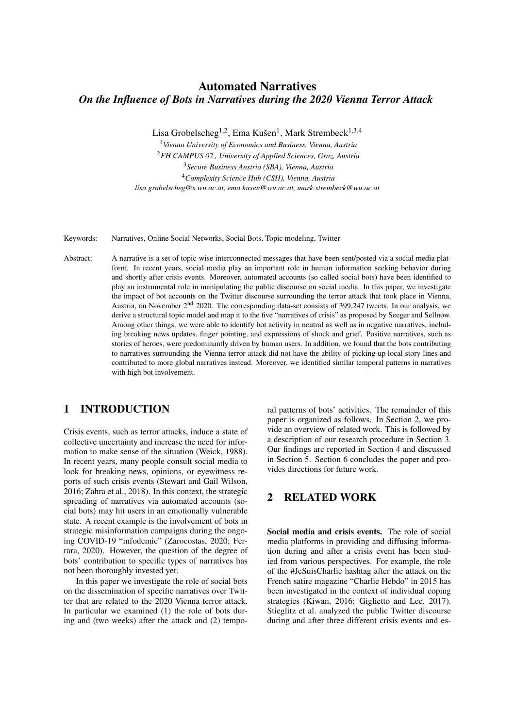# Automated Narratives *On the Influence of Bots in Narratives during the 2020 Vienna Terror Attack*

Lisa Grobelscheg<sup>1,2</sup>, Ema Kušen<sup>1</sup>, Mark Strembeck<sup>1,3,4</sup>

*Vienna University of Economics and Business, Vienna, Austria FH CAMPUS 02 , University of Applied Sciences, Graz, Austria Secure Business Austria (SBA), Vienna, Austria Complexity Science Hub (CSH), Vienna, Austria lisa.grobelscheg@s.wu.ac.at, ema.kusen@wu.ac.at, mark.strembeck@wu.ac.at*

Keywords: Narratives, Online Social Networks, Social Bots, Topic modeling, Twitter

Abstract: A narrative is a set of topic-wise interconnected messages that have been sent/posted via a social media platform. In recent years, social media play an important role in human information seeking behavior during and shortly after crisis events. Moreover, automated accounts (so called social bots) have been identified to play an instrumental role in manipulating the public discourse on social media. In this paper, we investigate the impact of bot accounts on the Twitter discourse surrounding the terror attack that took place in Vienna, Austria, on November 2nd 2020. The corresponding data-set consists of 399,247 tweets. In our analysis, we derive a structural topic model and map it to the five "narratives of crisis" as proposed by Seeger and Sellnow. Among other things, we were able to identify bot activity in neutral as well as in negative narratives, including breaking news updates, finger pointing, and expressions of shock and grief. Positive narratives, such as stories of heroes, were predominantly driven by human users. In addition, we found that the bots contributing to narratives surrounding the Vienna terror attack did not have the ability of picking up local story lines and contributed to more global narratives instead. Moreover, we identified similar temporal patterns in narratives with high bot involvement.

### 1 INTRODUCTION

Crisis events, such as terror attacks, induce a state of collective uncertainty and increase the need for information to make sense of the situation (Weick, 1988). In recent years, many people consult social media to look for breaking news, opinions, or eyewitness reports of such crisis events (Stewart and Gail Wilson, 2016; Zahra et al., 2018). In this context, the strategic spreading of narratives via automated accounts (social bots) may hit users in an emotionally vulnerable state. A recent example is the involvement of bots in strategic misinformation campaigns during the ongoing COVID-19 "infodemic" (Zarocostas, 2020; Ferrara, 2020). However, the question of the degree of bots' contribution to specific types of narratives has not been thoroughly invested yet.

In this paper we investigate the role of social bots on the dissemination of specific narratives over Twitter that are related to the 2020 Vienna terror attack. In particular we examined (1) the role of bots during and (two weeks) after the attack and (2) temporal patterns of bots' activities. The remainder of this paper is organized as follows. In Section 2, we provide an overview of related work. This is followed by a description of our research procedure in Section 3. Our findings are reported in Section 4 and discussed in Section 5. Section 6 concludes the paper and provides directions for future work.

# 2 RELATED WORK

Social media and crisis events. The role of social media platforms in providing and diffusing information during and after a crisis event has been studied from various perspectives. For example, the role of the #JeSuisCharlie hashtag after the attack on the French satire magazine "Charlie Hebdo" in 2015 has been investigated in the context of individual coping strategies (Kiwan, 2016; Giglietto and Lee, 2017). Stieglitz et al. analyzed the public Twitter discourse during and after three different crisis events and es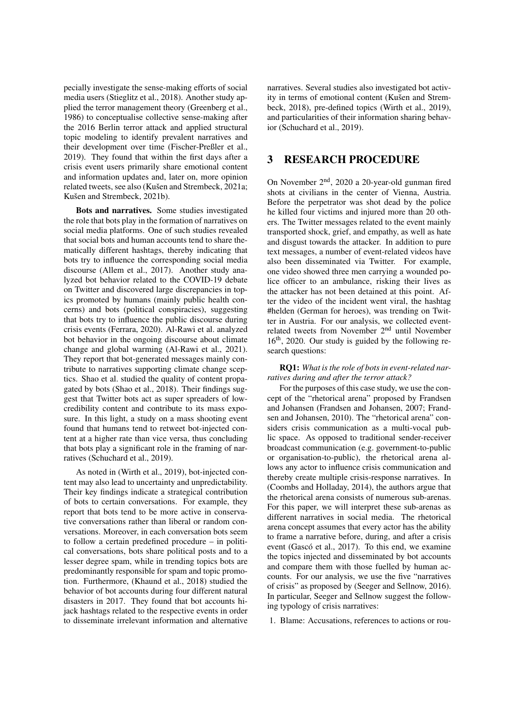pecially investigate the sense-making efforts of social media users (Stieglitz et al., 2018). Another study applied the terror management theory (Greenberg et al., 1986) to conceptualise collective sense-making after the 2016 Berlin terror attack and applied structural topic modeling to identify prevalent narratives and their development over time (Fischer-Preßler et al., 2019). They found that within the first days after a crisis event users primarily share emotional content and information updates and, later on, more opinion related tweets, see also (Kušen and Strembeck, 2021a; Kušen and Strembeck, 2021b).

Bots and narratives. Some studies investigated the role that bots play in the formation of narratives on social media platforms. One of such studies revealed that social bots and human accounts tend to share thematically different hashtags, thereby indicating that bots try to influence the corresponding social media discourse (Allem et al., 2017). Another study analyzed bot behavior related to the COVID-19 debate on Twitter and discovered large discrepancies in topics promoted by humans (mainly public health concerns) and bots (political conspiracies), suggesting that bots try to influence the public discourse during crisis events (Ferrara, 2020). Al-Rawi et al. analyzed bot behavior in the ongoing discourse about climate change and global warming (Al-Rawi et al., 2021). They report that bot-generated messages mainly contribute to narratives supporting climate change sceptics. Shao et al. studied the quality of content propagated by bots (Shao et al., 2018). Their findings suggest that Twitter bots act as super spreaders of lowcredibility content and contribute to its mass exposure. In this light, a study on a mass shooting event found that humans tend to retweet bot-injected content at a higher rate than vice versa, thus concluding that bots play a significant role in the framing of narratives (Schuchard et al., 2019).

As noted in (Wirth et al., 2019), bot-injected content may also lead to uncertainty and unpredictability. Their key findings indicate a strategical contribution of bots to certain conversations. For example, they report that bots tend to be more active in conservative conversations rather than liberal or random conversations. Moreover, in each conversation bots seem to follow a certain predefined procedure – in political conversations, bots share political posts and to a lesser degree spam, while in trending topics bots are predominantly responsible for spam and topic promotion. Furthermore, (Khaund et al., 2018) studied the behavior of bot accounts during four different natural disasters in 2017. They found that bot accounts hijack hashtags related to the respective events in order to disseminate irrelevant information and alternative narratives. Several studies also investigated bot activity in terms of emotional content (Kušen and Strembeck, 2018), pre-defined topics (Wirth et al., 2019), and particularities of their information sharing behavior (Schuchard et al., 2019).

### 3 RESEARCH PROCEDURE

On November 2nd, 2020 a 20-year-old gunman fired shots at civilians in the center of Vienna, Austria. Before the perpetrator was shot dead by the police he killed four victims and injured more than 20 others. The Twitter messages related to the event mainly transported shock, grief, and empathy, as well as hate and disgust towards the attacker. In addition to pure text messages, a number of event-related videos have also been disseminated via Twitter. For example, one video showed three men carrying a wounded police officer to an ambulance, risking their lives as the attacker has not been detained at this point. After the video of the incident went viral, the hashtag #helden (German for heroes), was trending on Twitter in Austria. For our analysis, we collected eventrelated tweets from November 2nd until November 16th, 2020. Our study is guided by the following research questions:

RQ1: *What is the role of bots in event-related narratives during and after the terror attack?*

For the purposes of this case study, we use the concept of the "rhetorical arena" proposed by Frandsen and Johansen (Frandsen and Johansen, 2007; Frandsen and Johansen, 2010). The "rhetorical arena" considers crisis communication as a multi-vocal public space. As opposed to traditional sender-receiver broadcast communication (e.g. government-to-public or organisation-to-public), the rhetorical arena allows any actor to influence crisis communication and thereby create multiple crisis-response narratives. In (Coombs and Holladay, 2014), the authors argue that the rhetorical arena consists of numerous sub-arenas. For this paper, we will interpret these sub-arenas as different narratives in social media. The rhetorical arena concept assumes that every actor has the ability to frame a narrative before, during, and after a crisis event (Gascó et al., 2017). To this end, we examine the topics injected and disseminated by bot accounts and compare them with those fuelled by human accounts. For our analysis, we use the five "narratives of crisis" as proposed by (Seeger and Sellnow, 2016). In particular, Seeger and Sellnow suggest the following typology of crisis narratives:

1. Blame: Accusations, references to actions or rou-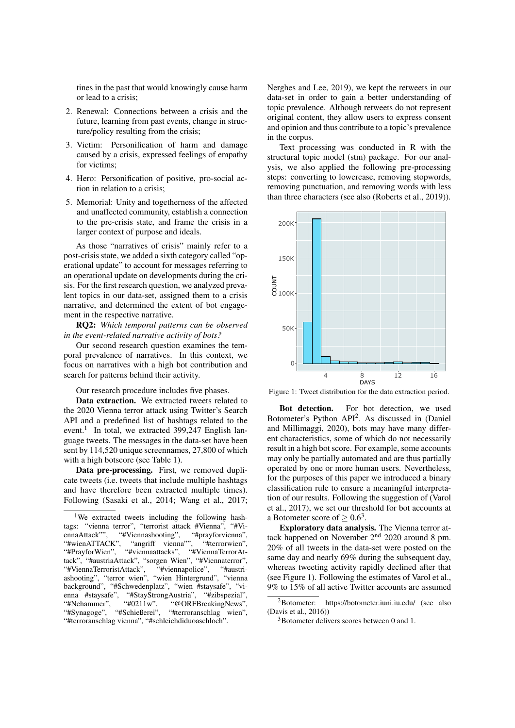tines in the past that would knowingly cause harm or lead to a crisis;

- 2. Renewal: Connections between a crisis and the future, learning from past events, change in structure/policy resulting from the crisis;
- 3. Victim: Personification of harm and damage caused by a crisis, expressed feelings of empathy for victims;
- 4. Hero: Personification of positive, pro-social action in relation to a crisis;
- 5. Memorial: Unity and togetherness of the affected and unaffected community, establish a connection to the pre-crisis state, and frame the crisis in a larger context of purpose and ideals.

As those "narratives of crisis" mainly refer to a post-crisis state, we added a sixth category called "operational update" to account for messages referring to an operational update on developments during the crisis. For the first research question, we analyzed prevalent topics in our data-set, assigned them to a crisis narrative, and determined the extent of bot engagement in the respective narrative.

RQ2: *Which temporal patterns can be observed in the event-related narrative activity of bots?*

Our second research question examines the temporal prevalence of narratives. In this context, we focus on narratives with a high bot contribution and search for patterns behind their activity.

Our research procedure includes five phases.

Data extraction. We extracted tweets related to the 2020 Vienna terror attack using Twitter's Search API and a predefined list of hashtags related to the event.<sup>1</sup> In total, we extracted 399,247 English language tweets. The messages in the data-set have been sent by 114,520 unique screennames, 27,800 of which with a high botscore (see Table 1).

Data pre-processing. First, we removed duplicate tweets (i.e. tweets that include multiple hashtags and have therefore been extracted multiple times). Following (Sasaki et al., 2014; Wang et al., 2017;

Nerghes and Lee, 2019), we kept the retweets in our data-set in order to gain a better understanding of topic prevalence. Although retweets do not represent original content, they allow users to express consent and opinion and thus contribute to a topic's prevalence in the corpus.

Text processing was conducted in R with the structural topic model (stm) package. For our analysis, we also applied the following pre-processing steps: converting to lowercase, removing stopwords, removing punctuation, and removing words with less than three characters (see also (Roberts et al., 2019)).



Figure 1: Tweet distribution for the data extraction period.

Bot detection. For bot detection, we used Botometer's Python API<sup>2</sup> . As discussed in (Daniel and Millimaggi, 2020), bots may have many different characteristics, some of which do not necessarily result in a high bot score. For example, some accounts may only be partially automated and are thus partially operated by one or more human users. Nevertheless, for the purposes of this paper we introduced a binary classification rule to ensure a meaningful interpretation of our results. Following the suggestion of (Varol et al., 2017), we set our threshold for bot accounts at a Botometer score of  $\geq 0.6^3$ .

Exploratory data analysis. The Vienna terror attack happened on November 2nd 2020 around 8 pm. 20% of all tweets in the data-set were posted on the same day and nearly 69% during the subsequent day, whereas tweeting activity rapidly declined after that (see Figure 1). Following the estimates of Varol et al., 9% to 15% of all active Twitter accounts are assumed

<sup>&</sup>lt;sup>1</sup>We extracted tweets including the following hashtags: "vienna terror", "terrorist attack #Vienna", "#ViennaAttack"", "#Viennashooting", "#prayforvienna", "#wienATTACK", "angriff vienna"", "#terrorwien", "#PrayforWien", "#viennaattacks", "#ViennaTerrorAttack", "#austriaAttack", "sorgen Wien", "#Viennaterror", "#ViennaTerroristAttack", "#viennapolice", "#austriashooting", "terror wien", "wien Hintergrund", "vienna background", "#Schwedenplatz", "wien #staysafe", "vienna #staysafe", "#StayStrongAustria", "#zibspezial", "#Nehammer", "#0211w", "@ORFBreakingNews", "#Nehammer", "#0211w", "@ORFBreakingNews", "#Synagoge", "#Schießerei", "#terroranschlag wien", "#terroranschlag vienna", "#schleichdiduoaschloch".

<sup>2</sup>Botometer: https://botometer.iuni.iu.edu/ (see also (Davis et al., 2016))

 $3Botometer$  delivers scores between 0 and 1.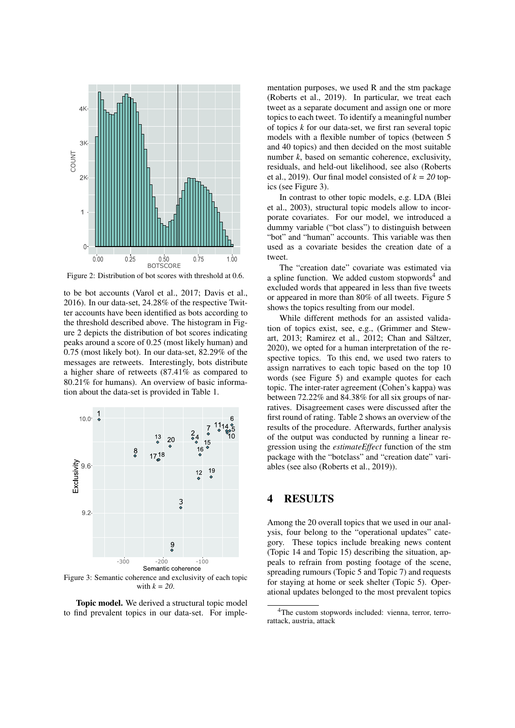

Figure 2: Distribution of bot scores with threshold at 0.6.

to be bot accounts (Varol et al., 2017; Davis et al., 2016). In our data-set, 24.28% of the respective Twitter accounts have been identified as bots according to the threshold described above. The histogram in Figure 2 depicts the distribution of bot scores indicating peaks around a score of 0.25 (most likely human) and 0.75 (most likely bot). In our data-set, 82.29% of the messages are retweets. Interestingly, bots distribute a higher share of retweets (87.41% as compared to 80.21% for humans). An overview of basic information about the data-set is provided in Table 1.



Figure 3: Semantic coherence and exclusivity of each topic with *k = 20*.

Topic model. We derived a structural topic model to find prevalent topics in our data-set. For imple-

mentation purposes, we used R and the stm package (Roberts et al., 2019). In particular, we treat each tweet as a separate document and assign one or more topics to each tweet. To identify a meaningful number of topics *k* for our data-set, we first ran several topic models with a flexible number of topics (between 5 and 40 topics) and then decided on the most suitable number *k*, based on semantic coherence, exclusivity, residuals, and held-out likelihood, see also (Roberts et al., 2019). Our final model consisted of  $k = 20$  topics (see Figure 3).

In contrast to other topic models, e.g. LDA (Blei et al., 2003), structural topic models allow to incorporate covariates. For our model, we introduced a dummy variable ("bot class") to distinguish between "bot" and "human" accounts. This variable was then used as a covariate besides the creation date of a tweet.

The "creation date" covariate was estimated via a spline function. We added custom stopwords<sup>4</sup> and excluded words that appeared in less than five tweets or appeared in more than 80% of all tweets. Figure 5 shows the topics resulting from our model.

While different methods for an assisted validation of topics exist, see, e.g., (Grimmer and Stewart,  $2013$ ; Ramirez et al.,  $2012$ ; Chan and Sältzer, 2020), we opted for a human interpretation of the respective topics. To this end, we used two raters to assign narratives to each topic based on the top 10 words (see Figure 5) and example quotes for each topic. The inter-rater agreement (Cohen's kappa) was between 72.22% and 84.38% for all six groups of narratives. Disagreement cases were discussed after the first round of rating. Table 2 shows an overview of the results of the procedure. Afterwards, further analysis of the output was conducted by running a linear regression using the *estimateEffect* function of the stm package with the "botclass" and "creation date" variables (see also (Roberts et al., 2019)).

#### 4 RESULTS

Among the 20 overall topics that we used in our analysis, four belong to the "operational updates" category. These topics include breaking news content (Topic 14 and Topic 15) describing the situation, appeals to refrain from posting footage of the scene, spreading rumours (Topic 5 and Topic 7) and requests for staying at home or seek shelter (Topic 5). Operational updates belonged to the most prevalent topics

<sup>&</sup>lt;sup>4</sup>The custom stopwords included: vienna, terror, terrorattack, austria, attack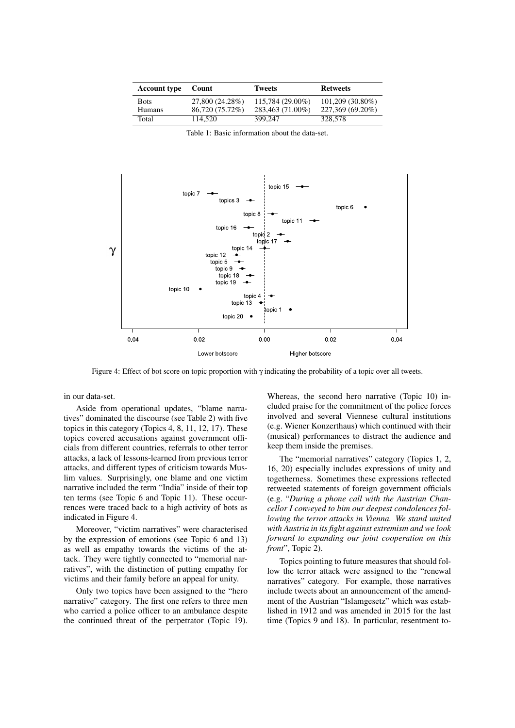| <b>Account type</b>          | Count                              | <b>Tweets</b>                        | <b>Retweets</b>                        |
|------------------------------|------------------------------------|--------------------------------------|----------------------------------------|
| <b>Bots</b><br><b>Humans</b> | 27,800 (24.28%)<br>86,720 (75,72%) | 115,784 (29.00%)<br>283,463 (71.00%) | $101,209(30.80\%)$<br>227,369 (69.20%) |
| Total                        | 114.520                            | 399.247                              | 328,578                                |

Table 1: Basic information about the data-set.



Figure 4: Effect of bot score on topic proportion with γ indicating the probability of a topic over all tweets.

in our data-set.

Aside from operational updates, "blame narratives" dominated the discourse (see Table 2) with five topics in this category (Topics 4, 8, 11, 12, 17). These topics covered accusations against government officials from different countries, referrals to other terror attacks, a lack of lessons-learned from previous terror attacks, and different types of criticism towards Muslim values. Surprisingly, one blame and one victim narrative included the term "India" inside of their top ten terms (see Topic 6 and Topic 11). These occurrences were traced back to a high activity of bots as indicated in Figure 4.

Moreover, "victim narratives" were characterised by the expression of emotions (see Topic 6 and 13) as well as empathy towards the victims of the attack. They were tightly connected to "memorial narratives", with the distinction of putting empathy for victims and their family before an appeal for unity.

Only two topics have been assigned to the "hero narrative" category. The first one refers to three men who carried a police officer to an ambulance despite the continued threat of the perpetrator (Topic 19).

Whereas, the second hero narrative (Topic 10) included praise for the commitment of the police forces involved and several Viennese cultural institutions (e.g. Wiener Konzerthaus) which continued with their (musical) performances to distract the audience and keep them inside the premises.

The "memorial narratives" category (Topics 1, 2, 16, 20) especially includes expressions of unity and togetherness. Sometimes these expressions reflected retweeted statements of foreign government officials (e.g. "*During a phone call with the Austrian Chancellor I conveyed to him our deepest condolences following the terror attacks in Vienna. We stand united with Austria in its fight against extremism and we look forward to expanding our joint cooperation on this front*", Topic 2).

Topics pointing to future measures that should follow the terror attack were assigned to the "renewal narratives" category. For example, those narratives include tweets about an announcement of the amendment of the Austrian "Islamgesetz" which was established in 1912 and was amended in 2015 for the last time (Topics 9 and 18). In particular, resentment to-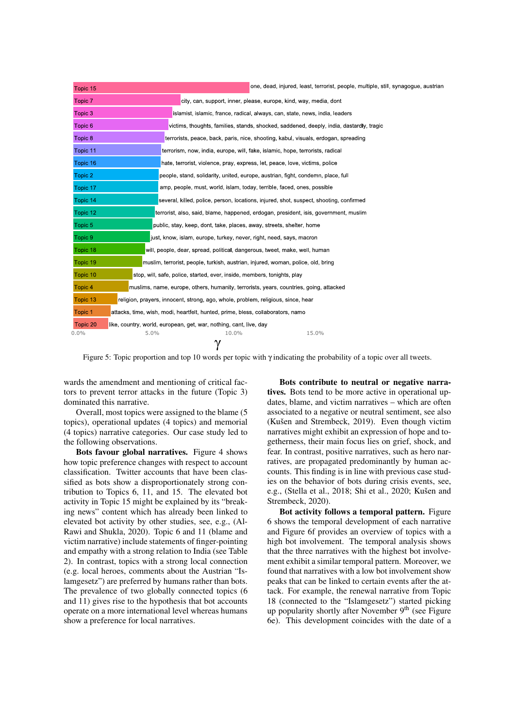| Topic 15           | one, dead, injured, least, terrorist, people, multiple, still, synagogue, austrian       |
|--------------------|------------------------------------------------------------------------------------------|
| Topic 7            | city, can, support, inner, please, europe, kind, way, media, dont                        |
| Topic 3            | islamist, islamic, france, radical, always, can, state, news, india, leaders             |
| Topic <sub>6</sub> | victims, thoughts, families, stands, shocked, saddened, deeply, india, dastardly, tragic |
| Topic 8            | terrorists, peace, back, paris, nice, shooting, kabul, visuals, erdogan, spreading       |
| Topic 11           | terrorism, now, india, europe, will, fake, islamic, hope, terrorists, radical            |
| Topic 16           | hate, terrorist, violence, pray, express, let, peace, love, victims, police              |
| Topic 2            | people, stand, solidarity, united, europe, austrian, fight, condemn, place, full         |
| Topic 17           | amp, people, must, world, islam, today, terrible, faced, ones, possible                  |
| Topic 14           | several, killed, police, person, locations, injured, shot, suspect, shooting, confirmed  |
| Topic 12           | terrorist, also, said, blame, happened, erdogan, president, isis, government, muslim     |
| Topic 5            | public, stay, keep, dont, take, places, away, streets, shelter, home                     |
| Topic 9            | just, know, islam, europe, turkey, never, right, need, says, macron                      |
| Topic 18           | will, people, dear, spread, political, dangerous, tweet, make, well, human               |
| Topic 19           | muslim, terrorist, people, turkish, austrian, injured, woman, police, old, bring         |
| Topic 10           | stop, will, safe, police, started, ever, inside, members, tonights, play                 |
| Topic <sub>4</sub> | muslims, name, europe, others, humanity, terrorists, years, countries, going, attacked   |
| Topic 13           | religion, prayers, innocent, strong, ago, whole, problem, religious, since, hear         |
| Topic 1            | attacks, time, wish, modi, heartfelt, hunted, prime, bless, collaborators, namo          |
| Topic 20           | like, country, world, european, get, war, nothing, cant, live, day                       |
| 0.0%               | 5.0%<br>10.0%<br>15.0%<br>$\gamma$                                                       |

Figure 5: Topic proportion and top 10 words per topic with γ indicating the probability of a topic over all tweets.

wards the amendment and mentioning of critical factors to prevent terror attacks in the future (Topic 3) dominated this narrative.

Overall, most topics were assigned to the blame (5 topics), operational updates (4 topics) and memorial (4 topics) narrative categories. Our case study led to the following observations.

Bots favour global narratives. Figure 4 shows how topic preference changes with respect to account classification. Twitter accounts that have been classified as bots show a disproportionately strong contribution to Topics 6, 11, and 15. The elevated bot activity in Topic 15 might be explained by its "breaking news" content which has already been linked to elevated bot activity by other studies, see, e.g., (Al-Rawi and Shukla, 2020). Topic 6 and 11 (blame and victim narrative) include statements of finger-pointing and empathy with a strong relation to India (see Table 2). In contrast, topics with a strong local connection (e.g. local heroes, comments about the Austrian "Islamgesetz") are preferred by humans rather than bots. The prevalence of two globally connected topics (6 and 11) gives rise to the hypothesis that bot accounts operate on a more international level whereas humans show a preference for local narratives.

Bots contribute to neutral or negative narratives. Bots tend to be more active in operational updates, blame, and victim narratives – which are often associated to a negative or neutral sentiment, see also (Kušen and Strembeck,  $2019$ ). Even though victim narratives might exhibit an expression of hope and togetherness, their main focus lies on grief, shock, and fear. In contrast, positive narratives, such as hero narratives, are propagated predominantly by human accounts. This finding is in line with previous case studies on the behavior of bots during crisis events, see, e.g., (Stella et al., 2018; Shi et al., 2020; Kušen and Strembeck, 2020).

Bot activity follows a temporal pattern. Figure 6 shows the temporal development of each narrative and Figure 6f provides an overview of topics with a high bot involvement. The temporal analysis shows that the three narratives with the highest bot involvement exhibit a similar temporal pattern. Moreover, we found that narratives with a low bot involvement show peaks that can be linked to certain events after the attack. For example, the renewal narrative from Topic 18 (connected to the "Islamgesetz") started picking up popularity shortly after November  $9<sup>th</sup>$  (see Figure 6e). This development coincides with the date of a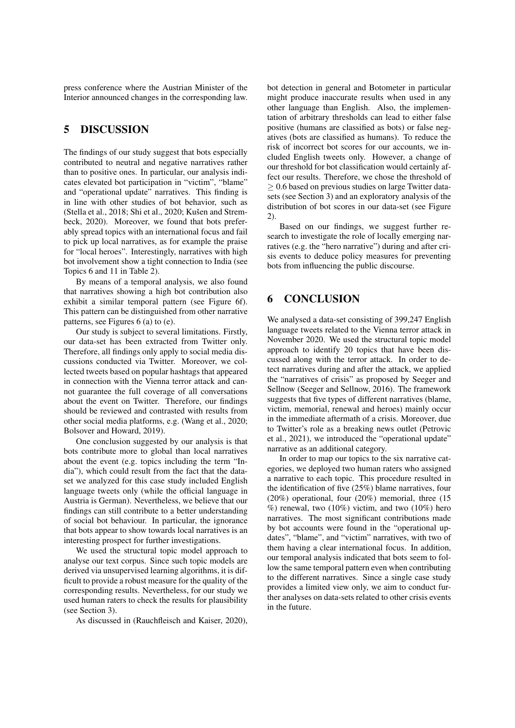press conference where the Austrian Minister of the Interior announced changes in the corresponding law.

## 5 DISCUSSION

The findings of our study suggest that bots especially contributed to neutral and negative narratives rather than to positive ones. In particular, our analysis indicates elevated bot participation in "victim", "blame" and "operational update" narratives. This finding is in line with other studies of bot behavior, such as (Stella et al., 2018; Shi et al., 2020; Kušen and Strembeck, 2020). Moreover, we found that bots preferably spread topics with an international focus and fail to pick up local narratives, as for example the praise for "local heroes". Interestingly, narratives with high bot involvement show a tight connection to India (see Topics 6 and 11 in Table 2).

By means of a temporal analysis, we also found that narratives showing a high bot contribution also exhibit a similar temporal pattern (see Figure 6f). This pattern can be distinguished from other narrative patterns, see Figures 6 (a) to (e).

Our study is subject to several limitations. Firstly, our data-set has been extracted from Twitter only. Therefore, all findings only apply to social media discussions conducted via Twitter. Moreover, we collected tweets based on popular hashtags that appeared in connection with the Vienna terror attack and cannot guarantee the full coverage of all conversations about the event on Twitter. Therefore, our findings should be reviewed and contrasted with results from other social media platforms, e.g. (Wang et al., 2020; Bolsover and Howard, 2019).

One conclusion suggested by our analysis is that bots contribute more to global than local narratives about the event (e.g. topics including the term "India"), which could result from the fact that the dataset we analyzed for this case study included English language tweets only (while the official language in Austria is German). Nevertheless, we believe that our findings can still contribute to a better understanding of social bot behaviour. In particular, the ignorance that bots appear to show towards local narratives is an interesting prospect for further investigations.

We used the structural topic model approach to analyse our text corpus. Since such topic models are derived via unsupervised learning algorithms, it is difficult to provide a robust measure for the quality of the corresponding results. Nevertheless, for our study we used human raters to check the results for plausibility (see Section 3).

As discussed in (Rauchfleisch and Kaiser, 2020),

bot detection in general and Botometer in particular might produce inaccurate results when used in any other language than English. Also, the implementation of arbitrary thresholds can lead to either false positive (humans are classified as bots) or false negatives (bots are classified as humans). To reduce the risk of incorrect bot scores for our accounts, we included English tweets only. However, a change of our threshold for bot classification would certainly affect our results. Therefore, we chose the threshold of ≥ 0.6 based on previous studies on large Twitter datasets (see Section 3) and an exploratory analysis of the distribution of bot scores in our data-set (see Figure 2).

Based on our findings, we suggest further research to investigate the role of locally emerging narratives (e.g. the "hero narrative") during and after crisis events to deduce policy measures for preventing bots from influencing the public discourse.

## 6 CONCLUSION

We analysed a data-set consisting of 399,247 English language tweets related to the Vienna terror attack in November 2020. We used the structural topic model approach to identify 20 topics that have been discussed along with the terror attack. In order to detect narratives during and after the attack, we applied the "narratives of crisis" as proposed by Seeger and Sellnow (Seeger and Sellnow, 2016). The framework suggests that five types of different narratives (blame, victim, memorial, renewal and heroes) mainly occur in the immediate aftermath of a crisis. Moreover, due to Twitter's role as a breaking news outlet (Petrovic et al., 2021), we introduced the "operational update" narrative as an additional category.

In order to map our topics to the six narrative categories, we deployed two human raters who assigned a narrative to each topic. This procedure resulted in the identification of five (25%) blame narratives, four (20%) operational, four (20%) memorial, three (15  $%$ ) renewal, two (10%) victim, and two (10%) hero narratives. The most significant contributions made by bot accounts were found in the "operational updates", "blame", and "victim" narratives, with two of them having a clear international focus. In addition, our temporal analysis indicated that bots seem to follow the same temporal pattern even when contributing to the different narratives. Since a single case study provides a limited view only, we aim to conduct further analyses on data-sets related to other crisis events in the future.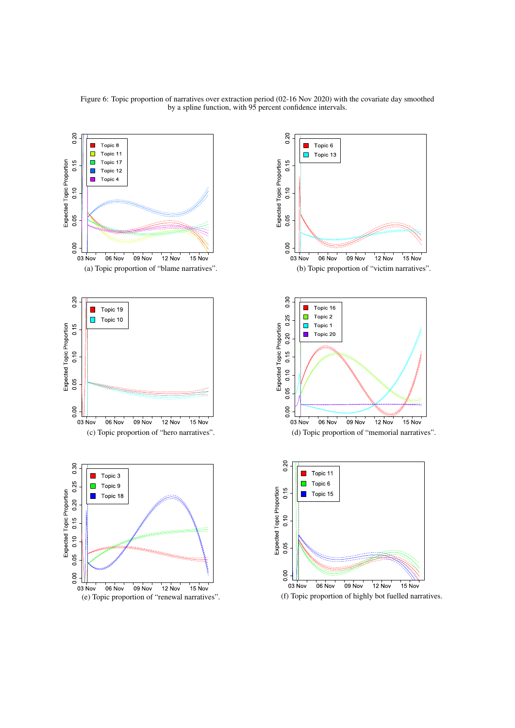



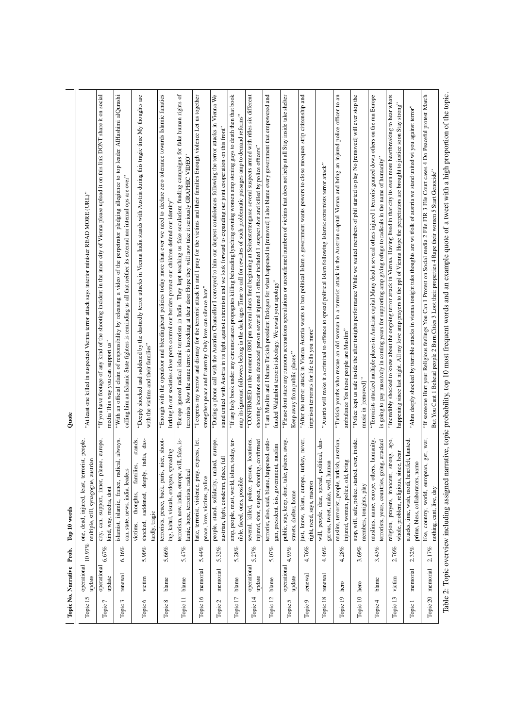|             | Topic No. Narrative Prob. |          | Top 10 words                                                                                              | Quote                                                                                                                                                                                                                                                                                 |
|-------------|---------------------------|----------|-----------------------------------------------------------------------------------------------------------|---------------------------------------------------------------------------------------------------------------------------------------------------------------------------------------------------------------------------------------------------------------------------------------|
| Topic 15    | operational<br>update     |          | terrorist, people,<br>austriar<br>multiple, still, synagogue,<br>10.97% one, dead, injured, least,        | "At least one killed in suspected Vienna terror attack says interior minister READ MORE (URL)"                                                                                                                                                                                        |
| Topic 7     | operational<br>update     | 6.67%    | please, europe,<br>city, can, support, inner,<br>kind, way, media, dont                                   | "If you have footage of any kind of the shooting incident in the inner city of Vienna please upload it on this link DONT share it on social<br>media This way you can support us"                                                                                                     |
| ω<br>Topic. | renewal                   | 6.16%    | always,<br>radical,<br>can, state, news, india, leaders<br>islamist, islamic, france,                     | "With an official claim of responsibility by releasing a video of the perpetrator pledging allegiance to top leader AlHashimi alQurashi<br>calling him an Islamic State fighters is reminding us all that neither its external nor internal ops are over"                             |
| Topic 6     | victim                    | $5.90\%$ | stands,<br>shocked, saddened, deeply, india, das-<br>families,<br>thoughts,<br>tardly, tragic<br>victims, | "Deeply shocked and saddened by the dastardly terror attacks in Vienna India stands with Austria during this tragic time My thoughts are<br>with the victims and their families"                                                                                                      |
| Topic 8     | blame                     | $5.66\%$ | terrorists, peace, back, paris, nice, shoot-<br>ing, kabul, visuals, erdogan, spreading                   | "Enough with the opendoor and bleedingheart policies today more than ever we need to declare zero tolerance towards Islamic fanatics<br>lurking in our societies close ports control our borders protect our children defend our identity"                                            |
| Topic 11    | blame                     | 5.47%    | pe, will, fake, is-<br>lamic, hope, terrorists, radical<br>terrorism, now, india, euro                    | "Europe ignored radical islamic terrorism in India. They kept teaching us fake secularism funding campaigns for fake human rights of<br>terrorists. Now the same terror is knocking at their door Hope they will now take it seriously GRAPHIC VIDEO"                                 |
| Topic 16    | memorial                  | 5.44%    | hate, terrorist, violence, pray, express, let,<br>peace, love, victims, police                            | "I express my sorrow and dismay for the terrorist attack in and I pray for the victims and their families Enough violence Let us together<br>strengthen peace and fraternity Only love can silence hate"                                                                              |
| Topic 2     | memorial                  | 5.32%    | united, europe,<br>austrian, fight, condemn, place, full<br>people, stand, solidarity,                    | "During a phone call with the Austrian Chancellor I conveyed to him our deepest condolences following the terror attacks in Vienna We<br>stand united with Austria in its fight against extremism and we look forward to expanding our joint cooperation on this front"               |
| Topic 17    | blame                     | $5.28\%$ | islam, today, ter-<br>rible, faced, ones, possible<br>amp, people, must, world,                           | "If any holy book under any circumstances propogates killing beheading lynching owning women amp stoning gays to death then that book<br>amp its ignorant followers belong in the dark ages Time to call for rewrites of such problematic passages amp to demand reforms"             |
| Topic 14    | operational<br>update     | 5.27%    | several, killed, police, person, locations,<br>injured, shot, suspect, shooting, confirmed                | "CONFIRMED at the moment 0800 pm several shots fired beginning at Seitenstettengasse several suspects armed with rifles six different<br>shooting locations one deceaced person several injured 1 officer included 1 suspect shot and killed by police officers"                      |
| Topic 12    | blame                     | $5.07\%$ | happened, erdo-<br>gan, president, isis, government, muslim<br>terrorist, also, said, blame,              | "I am Muslim and I blame Turkish president Erdogan for what happened in [removed] I also blame every government that empowered and<br>funded Wahhabist terrorist ideology. We await your apology"                                                                                     |
| Topic 5     | operational<br>update     | 4.93%    | public, stay, keep, dont, take, places, away,<br>streets, shelter, home                                   | "Please dont stare any rumours accusations speculations or unconfirmed numbers of victims that does not help at all Stay inside take shelter<br>Keep away from public places."                                                                                                        |
| Topic 9     | renewal                   | $4.76\%$ | just, know, islam, europe, turkey, never,<br>right, need, says, macron                                    | "After the terror attack in Vienna Austria wants to ban political Islam s government wants powers to close mosques strip citizenship and<br>imprison terrorists for life tells you more"                                                                                              |
| Topic 18    | renewal                   | $4.46\%$ | will, people, dear, spread, political, dan-<br>, human<br>gerous, tweet, make, well,                      | "Austria will make it a criminal to offence to spread political Islam following Islamic extremists terror attack"                                                                                                                                                                     |
| Topic 19    | hero                      | $4.28\%$ | muslim, terrorist, people, turkish, austrian,<br>injured, woman, police, old, bring                       | $\rm{m}$<br>"Turkish youths who rescue an old woman in a terrorist attack in the Austrian capital Vienna and bring an injured police officer to<br>ambulance Yes these people are Muslim"                                                                                             |
| Topic 10    | hero                      | $3.69\%$ | stop, will, safe, police, started, ever, inside,<br>members, tonights, play                               | "Police kept us safe inside the after tonights performance While we waited members of phil started to play No [removed] will ever stop the<br>music in [removed]                                                                                                                      |
| Topic 4     | blame                     | 3.43%    | muslims, name, europe, others, humanity,<br>terrorists, years, countries, going, attacked                 | "Terrorists attacked multiple places in Austrian capital Many dead n several others injured 1 terrorist gunned down others on the run Europe<br>is going to pay massively in coming years for supporting amp giving refuge to radicals in the name of humanity"                       |
| Topic 13    | victim                    | 2.76%    | religion, prayers, innocent, strong, ago,<br>whole, problem, religious, since, hear                       | "Incredibly shocked to know about the ongoing terror attack in Vienna. Having lived in that city its even more heartbreaking to hear whats<br>happening since last night. All my love amp prayers to the ppl of Vienna Hope the perpetrators are brought to justice soon Stay strong" |
| Topic 1     | memorial                  | 2.32%    | heartfelt, hunted,<br>s, namo<br>prime, bless, collaborators<br>attacks, time, wish, modi,                | "Ahm deeply shocked by tterrible attacks in vienna tonight tuks thoughts are wi tfolk of austria we stand united wi you against terror"                                                                                                                                               |
| Topic 20    | memorial                  | $2.17\%$ | like, country, world, european, get, war,<br>nothing, cant, live, day                                     | "If someone Hurt your Religious feelings You Can 1 Protest on Social media 2 File FIR 3 File Court cases 4 Do Peaceful protest March<br>But You Cant 1 Behead people 2 Burn Cities 3 Loot their properties 4 Rape their women 5 Start Genocide"                                       |
|             |                           |          |                                                                                                           | Table 2: Topic overview including assigned narrative, topic probability, top 10 most frequent words and an example quote of a tweet with a high proportion of the topic.                                                                                                              |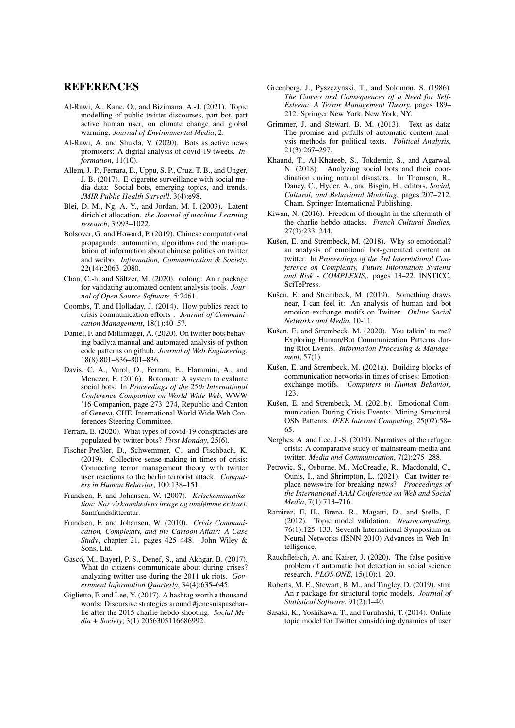#### REFERENCES

- Al-Rawi, A., Kane, O., and Bizimana, A.-J. (2021). Topic modelling of public twitter discourses, part bot, part active human user, on climate change and global warming. *Journal of Environmental Media*, 2.
- Al-Rawi, A. and Shukla, V. (2020). Bots as active news promoters: A digital analysis of covid-19 tweets. *Information*, 11(10).
- Allem, J.-P., Ferrara, E., Uppu, S. P., Cruz, T. B., and Unger, J. B. (2017). E-cigarette surveillance with social media data: Social bots, emerging topics, and trends. *JMIR Public Health Surveill*, 3(4):e98.
- Blei, D. M., Ng, A. Y., and Jordan, M. I. (2003). Latent dirichlet allocation. *the Journal of machine Learning research*, 3:993–1022.
- Bolsover, G. and Howard, P. (2019). Chinese computational propaganda: automation, algorithms and the manipulation of information about chinese politics on twitter and weibo. *Information, Communication & Society*, 22(14):2063–2080.
- Chan, C.-h. and Sältzer, M. (2020). oolong: An r package for validating automated content analysis tools. *Journal of Open Source Software*, 5:2461.
- Coombs, T. and Holladay, J. (2014). How publics react to crisis communication efforts . *Journal of Communication Management*, 18(1):40–57.
- Daniel, F. and Millimaggi, A. (2020). On twitter bots behaving badly:a manual and automated analysis of python code patterns on github. *Journal of Web Engineering*, 18(8):801–836–801–836.
- Davis, C. A., Varol, O., Ferrara, E., Flammini, A., and Menczer, F. (2016). Botornot: A system to evaluate social bots. In *Proceedings of the 25th International Conference Companion on World Wide Web*, WWW '16 Companion, page 273–274, Republic and Canton of Geneva, CHE. International World Wide Web Conferences Steering Committee.
- Ferrara, E. (2020). What types of covid-19 conspiracies are populated by twitter bots? *First Monday*, 25(6).
- Fischer-Preßler, D., Schwemmer, C., and Fischbach, K. (2019). Collective sense-making in times of crisis: Connecting terror management theory with twitter user reactions to the berlin terrorist attack. *Computers in Human Behavior*, 100:138–151.
- Frandsen, F. and Johansen, W. (2007). *Krisekommunikation: Når virksomhedens image og omdømme er truet.* Samfundslitteratur.
- Frandsen, F. and Johansen, W. (2010). *Crisis Communication, Complexity, and the Cartoon Affair: A Case Study*, chapter 21, pages 425–448. John Wiley & Sons, Ltd.
- Gascó, M., Bayerl, P. S., Denef, S., and Akhgar, B. (2017). What do citizens communicate about during crises? analyzing twitter use during the 2011 uk riots. *Government Information Quarterly*, 34(4):635–645.
- Giglietto, F. and Lee, Y. (2017). A hashtag worth a thousand words: Discursive strategies around #jenesuispascharlie after the 2015 charlie hebdo shooting. *Social Media + Society*, 3(1):2056305116686992.
- Greenberg, J., Pyszczynski, T., and Solomon, S. (1986). *The Causes and Consequences of a Need for Self-Esteem: A Terror Management Theory*, pages 189– 212. Springer New York, New York, NY.
- Grimmer, J. and Stewart, B. M. (2013). Text as data: The promise and pitfalls of automatic content analysis methods for political texts. *Political Analysis*, 21(3):267–297.
- Khaund, T., Al-Khateeb, S., Tokdemir, S., and Agarwal, N. (2018). Analyzing social bots and their coordination during natural disasters. In Thomson, R., Dancy, C., Hyder, A., and Bisgin, H., editors, *Social, Cultural, and Behavioral Modeling*, pages 207–212, Cham. Springer International Publishing.
- Kiwan, N. (2016). Freedom of thought in the aftermath of the charlie hebdo attacks. *French Cultural Studies*, 27(3):233–244.
- Kušen, E. and Strembeck, M. (2018). Why so emotional? an analysis of emotional bot-generated content on twitter. In *Proceedings of the 3rd International Conference on Complexity, Future Information Systems and Risk - COMPLEXIS,*, pages 13–22. INSTICC, SciTePress.
- Kušen, E. and Strembeck, M. (2019). Something draws near, I can feel it: An analysis of human and bot emotion-exchange motifs on Twitter. *Online Social Networks and Media*, 10-11.
- Kušen, E. and Strembeck, M. (2020). You talkin' to me? Exploring Human/Bot Communication Patterns during Riot Events. *Information Processing & Management*, 57(1).
- Kušen, E. and Strembeck, M. (2021a). Building blocks of communication networks in times of crises: Emotionexchange motifs. *Computers in Human Behavior*, 123.
- Kušen, E. and Strembeck, M. (2021b). Emotional Communication During Crisis Events: Mining Structural OSN Patterns. *IEEE Internet Computing*, 25(02):58– 65.
- Nerghes, A. and Lee, J.-S. (2019). Narratives of the refugee crisis: A comparative study of mainstream-media and twitter. *Media and Communication*, 7(2):275–288.
- Petrovic, S., Osborne, M., McCreadie, R., Macdonald, C., Ounis, I., and Shrimpton, L. (2021). Can twitter replace newswire for breaking news? *Proceedings of the International AAAI Conference on Web and Social Media*, 7(1):713–716.
- Ramirez, E. H., Brena, R., Magatti, D., and Stella, F. (2012). Topic model validation. *Neurocomputing*, 76(1):125–133. Seventh International Symposium on Neural Networks (ISNN 2010) Advances in Web Intelligence.
- Rauchfleisch, A. and Kaiser, J. (2020). The false positive problem of automatic bot detection in social science research. *PLOS ONE*, 15(10):1–20.
- Roberts, M. E., Stewart, B. M., and Tingley, D. (2019). stm: An r package for structural topic models. *Journal of Statistical Software*, 91(2):1–40.
- Sasaki, K., Yoshikawa, T., and Furuhashi, T. (2014). Online topic model for Twitter considering dynamics of user